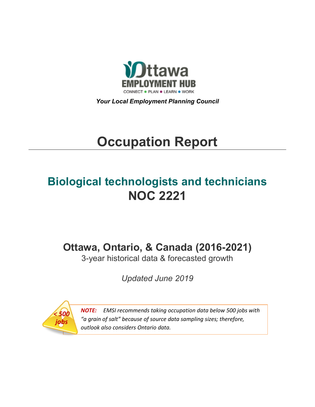

*Your Local Employment Planning Council*

# **Occupation Report**

## **Biological technologists and technicians NOC 2221**

**Ottawa, Ontario, & Canada (2016-2021)**

3-year historical data & forecasted growth

*Updated June 2019*



*NOTE: EMSI recommends taking occupation data below 500 jobs with "a grain of salt" because of source data sampling sizes; therefore, outlook also considers Ontario data.*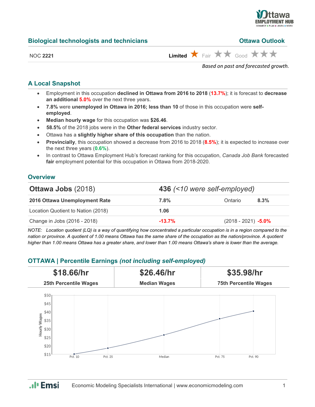

| <b>Biological technologists and technicians</b> | <b>Ottawa Outlook</b> |
|-------------------------------------------------|-----------------------|
|-------------------------------------------------|-----------------------|

| <b>Ottawa Outlook</b> |  |
|-----------------------|--|
|                       |  |

| I |     |
|---|-----|
| r | . . |

 $L$ imited  $\star$  Fair  $\star\star$  Good  $\star\star\star$ 

*Based on past and forecasted growth.*

#### **A Local Snapshot**

- Employment in this occupation **declined in Ottawa from 2016 to 2018** (**13.7%**); it is forecast to **decrease an additional 5.0%** over the next three years.
- **7.8%** were **unemployed in Ottawa in 2016; less than 10** of those in this occupation were **selfemployed**.
- **Median hourly wage** for this occupation was **\$26.46**.
- **58.5%** of the 2018 jobs were in the **Other federal services** industry sector.
- Ottawa has a **slightly higher share of this occupation** than the nation.
- **Provincially**, this occupation showed a decrease from 2016 to 2018 (**8.5%**); it is expected to increase over the next three years (**0.6%**).
- In contrast to Ottawa Employment Hub's forecast ranking for this occupation, *Canada Job Bank* forecasted **fair** employment potential for this occupation in Ottawa from 2018-2020.

#### **Overview**

| <b>Ottawa Jobs (2018)</b>          | 436 (<10 were self-employed) |                        |      |
|------------------------------------|------------------------------|------------------------|------|
| 2016 Ottawa Unemployment Rate      | 7.8%                         | Ontario                | 8.3% |
| Location Quotient to Nation (2018) | 1.06                         |                        |      |
| Change in Jobs (2016 - 2018)       | $-13.7\%$                    | $(2018 - 2021) -5.0\%$ |      |

*NOTE: Location quotient (LQ) is a way of quantifying how concentrated a particular occupation is in a region compared to the nation or province. A quotient of 1.00 means Ottawa has the same share of the occupation as the nation/province. A quotient higher than 1.00 means Ottawa has a greater share, and lower than 1.00 means Ottawa's share is lower than the average.*

#### **OTTAWA | Percentile Earnings** *(not including self-employed)*



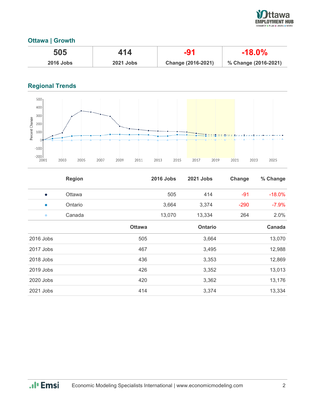

#### **Ottawa | Growth**

| 505         | 414              | -91                | $-18.0\%$            |
|-------------|------------------|--------------------|----------------------|
| $2016$ Jobs | <b>2021 Jobs</b> | Change (2016-2021) | % Change (2016-2021) |

### **Regional Trends**



|           | <b>Region</b> |               | <b>2016 Jobs</b> | 2021 Jobs | Change | % Change |
|-----------|---------------|---------------|------------------|-----------|--------|----------|
| $\bullet$ | Ottawa        |               | 505              | 414       | $-91$  | $-18.0%$ |
| $\bullet$ | Ontario       |               | 3,664            | 3,374     | $-290$ | $-7.9%$  |
| $\bullet$ | Canada        |               | 13,070           | 13,334    | 264    | 2.0%     |
|           |               | <b>Ottawa</b> |                  | Ontario   |        | Canada   |
| 2016 Jobs |               | 505           |                  | 3,664     |        | 13,070   |
| 2017 Jobs |               | 467           |                  | 3,495     |        | 12,988   |
| 2018 Jobs |               | 436           |                  | 3,353     |        | 12,869   |
| 2019 Jobs |               | 426           |                  | 3,352     |        | 13,013   |
| 2020 Jobs |               | 420           |                  | 3,362     |        | 13,176   |
| 2021 Jobs |               | 414           |                  | 3,374     |        | 13,334   |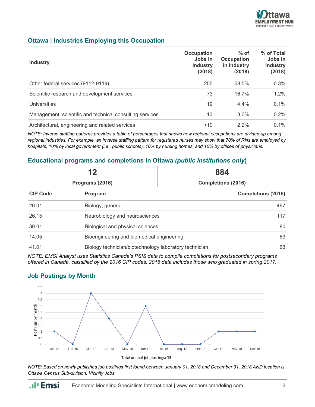

#### **Ottawa | Industries Employing this Occupation**

| <b>Industry</b>                                          | Occupation<br>Jobs in<br><b>Industry</b><br>(2018) | $%$ of<br><b>Occupation</b><br>in Industry<br>(2018) | % of Total<br>Jobs in<br><b>Industry</b><br>(2018) |
|----------------------------------------------------------|----------------------------------------------------|------------------------------------------------------|----------------------------------------------------|
| Other federal services (9112-9119)                       | 255                                                | 58.5%                                                | 0.3%                                               |
| Scientific research and development services             | 73                                                 | 16.7%                                                | 1.2%                                               |
| Universities                                             | 19                                                 | $4.4\%$                                              | $0.1\%$                                            |
| Management, scientific and technical consulting services | 13                                                 | 3.0%                                                 | 0.2%                                               |
| Architectural, engineering and related services          | 10                                                 | $2.2\%$                                              | $0.1\%$                                            |

*NOTE: Inverse staffing patterns provides a table of percentages that shows how regional occupations are divided up among regional industries. For example, an inverse staffing pattern for registered nurses may show that 70% of RNs are employed by hospitals, 10% by local government (i.e., public schools), 10% by nursing homes, and 10% by offices of physicians.*

#### **Educational programs and completions in Ottawa** *(public institutions only***)**

| 12<br>Programs (2016) |                                                        | 884                       |  |
|-----------------------|--------------------------------------------------------|---------------------------|--|
|                       |                                                        | <b>Completions (2016)</b> |  |
| <b>CIP Code</b>       | Program                                                | <b>Completions (2016)</b> |  |
| 26.01                 | Biology, general                                       | 467                       |  |
| 26.15                 | Neurobiology and neurosciences                         | 117                       |  |
| 30.01                 | Biological and physical sciences                       |                           |  |
| 14.05                 | Bioengineering and biomedical engineering              |                           |  |
| 41.01                 | Biology technician/biotechnology laboratory technician |                           |  |

*NOTE: EMSI Analyst uses Statistics Canada's PSIS data to compile completions for postsecondary programs offered in Canada, classified by the 2016 CIP codes. 2016 data includes those who graduated in spring 2017.*

#### **Job Postings by Month**

.**.**. Emsi



*NOTE: Based on newly published job postings first found between January 01, 2018 and December 31, 2018 AND location is Ottawa Census Sub-division, Vicinity Jobs.*